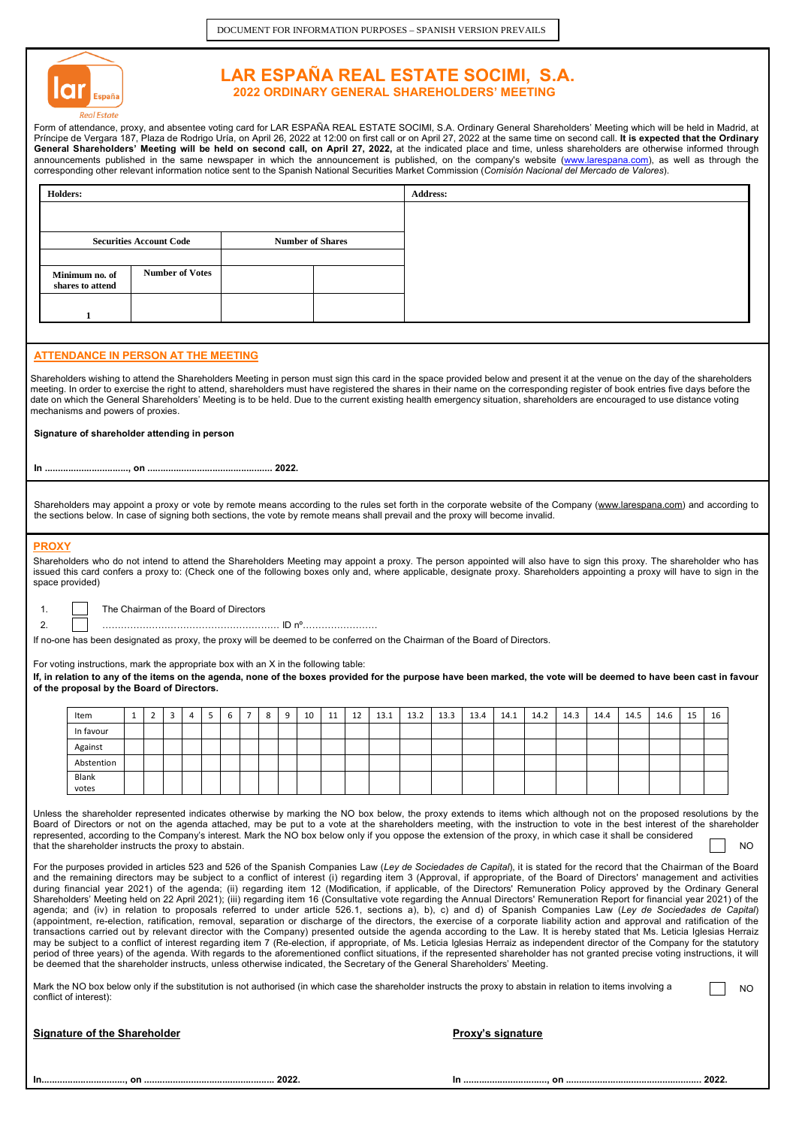

# **LAR ESPAÑA REAL ESTATE SOCIMI, S.A. 2022 ORDINARY GENERAL SHAREHOLDERS' MEETING**

Form of attendance, proxy, and absentee voting card for LAR ESPANA REAL ESTATE SOCIMI, S.A. Ordinary General Shareholders' Meeting which will be held in Madrid, at<br>Príncipe de Vergara 187, Plaza de Rodrigo Uría, on April 2 **General Shareholders' Meeting will be held on second call, on April 27, 2022,** at the indicated place and time, unless shareholders are otherwise informed through announcements published in the same newspaper in which the announcement is published, on the company's website (<u>www.larespana.com</u>), as well as through the corresponding other relevant information notice sent to the Spanish National Securities Market Commission (*Comisión Nacional del Mercado de Valores*).

| <b>Holders:</b>                              |                                |                         | <b>Address:</b>                                                                                                                                                                                                                                                                                                                                                                                                                                                                                                                               |
|----------------------------------------------|--------------------------------|-------------------------|-----------------------------------------------------------------------------------------------------------------------------------------------------------------------------------------------------------------------------------------------------------------------------------------------------------------------------------------------------------------------------------------------------------------------------------------------------------------------------------------------------------------------------------------------|
|                                              |                                |                         |                                                                                                                                                                                                                                                                                                                                                                                                                                                                                                                                               |
|                                              | <b>Securities Account Code</b> | <b>Number of Shares</b> |                                                                                                                                                                                                                                                                                                                                                                                                                                                                                                                                               |
| Minimum no. of<br>shares to attend           | <b>Number of Votes</b>         |                         |                                                                                                                                                                                                                                                                                                                                                                                                                                                                                                                                               |
|                                              |                                |                         |                                                                                                                                                                                                                                                                                                                                                                                                                                                                                                                                               |
|                                              |                                |                         |                                                                                                                                                                                                                                                                                                                                                                                                                                                                                                                                               |
| ATTENDANCE IN PERSON AT THE MEETING          |                                |                         |                                                                                                                                                                                                                                                                                                                                                                                                                                                                                                                                               |
| mechanisms and powers of proxies.            |                                |                         | Shareholders wishing to attend the Shareholders Meeting in person must sign this card in the space provided below and present it at the venue on the day of the shareholders<br>meeting. In order to exercise the right to attend, shareholders must have registered the shares in their name on the corresponding register of book entries five days before the<br>date on which the General Shareholders' Meeting is to be held. Due to the current existing health emergency situation, shareholders are encouraged to use distance voting |
| Signature of shareholder attending in person |                                |                         |                                                                                                                                                                                                                                                                                                                                                                                                                                                                                                                                               |
|                                              |                                |                         |                                                                                                                                                                                                                                                                                                                                                                                                                                                                                                                                               |

Shareholders may appoint a proxy or vote by remote means according to the rules set forth in the corporate website of the Company [\(www.larespana.com\)](http://www.larespana.com/) and according to the sections below. In case of signing both sections, the vote by remote means shall prevail and the proxy will become invalid.

## **PROXY**

Shareholders who do not intend to attend the Shareholders Meeting may appoint a proxy. The person appointed will also have to sign this proxy. The shareholder who has issued this card confers a proxy to: (Check one of the following boxes only and, where applicable, designate proxy. Shareholders appointing a proxy will have to sign in the space provided)

1. The Chairman of the Board of Directors

2. ………………………………………………… ID nº……………………

If no-one has been designated as proxy, the proxy will be deemed to be conferred on the Chairman of the Board of Directors.

#### For voting instructions, mark the appropriate box with an X in the following table:

**If, in relation to any of the items on the agenda, none of the boxes provided for the purpose have been marked, the vote will be deemed to have been cast in favour of the proposal by the Board of Directors.**

| Item       |  | ٠<br>د | 4 | ь | b | 8 | 9 | 10 | 11 | 12 | 13.1 | 13.2 | 13.3 | 13.4 | 14.1 | 14.2 | 14.3 | 14.4 | 14.5 | 14.6 | 15 | 16 |
|------------|--|--------|---|---|---|---|---|----|----|----|------|------|------|------|------|------|------|------|------|------|----|----|
| In favour  |  |        |   |   |   |   |   |    |    |    |      |      |      |      |      |      |      |      |      |      |    |    |
| Against    |  |        |   |   |   |   |   |    |    |    |      |      |      |      |      |      |      |      |      |      |    |    |
| Abstention |  |        |   |   |   |   |   |    |    |    |      |      |      |      |      |      |      |      |      |      |    |    |
| Blank      |  |        |   |   |   |   |   |    |    |    |      |      |      |      |      |      |      |      |      |      |    |    |
| votes      |  |        |   |   |   |   |   |    |    |    |      |      |      |      |      |      |      |      |      |      |    |    |

Unless the shareholder represented indicates otherwise by marking the NO box below, the proxy extends to items which although not on the proposed resolutions by the Board of Directors or not on the agenda attached, may be put to a vote at the shareholders meeting, with the instruction to vote in the best interest of the shareholder represented, according to the Company's interest. Mark the NO box below only if you oppose the extension of the proxy, in which case it shall be considered that the shareholder instructs the proxy to abstain. NO

For the purposes provided in articles 523 and 526 of the Spanish Companies Law (*Ley de Sociedades de Capital*), it is stated for the record that the Chairman of the Board and the remaining directors may be subject to a conflict of interest (i) regarding item 3 (Approval, if appropriate, of the Board of Directors' management and activities during financial year 2021) of the agenda; (ii) regarding item 12 (Modification, if applicable, of the Directors' Remuneration Policy approved by the Ordinary General Shareholders' Meeting held on 22 April 2021); (iii) regarding item 16 (Consultative vote regarding the Annual Directors' Remuneration Report for financial year 2021) of the agenda; and (iv) in relation to proposals referred to under article 526.1, sections a), b), c) and d) of Spanish Companies Law (*Ley de Sociedades de Capital*)<br>(appointment, re-election, ratification, removal, separation o transactions carried out by relevant director with the Company) presented outside the agenda according to the Law. It is hereby stated that Ms. Leticia Iglesias Herraiz may be subject to a conflict of interest regarding item 7 (Re-election, if appropriate, of Ms. Leticia Iglesias Herraiz as independent director of the Company for the statutory period of three years) of the agenda. With regards to the aforementioned conflict situations, if the represented shareholder has not granted precise voting instructions, it will be deemed that the shareholder instructs, unless otherwise indicated, the Secretary of the General Shareholders' Meeting.

| Mark the NO box below only if the substitution is not authorised (in which case the shareholder instructs the proxy to abstain in relation to items involving a | N <sub>O</sub> |
|-----------------------------------------------------------------------------------------------------------------------------------------------------------------|----------------|
| conflict of interest):                                                                                                                                          |                |

| <b>Signature of the Shareholder</b> |  |  |
|-------------------------------------|--|--|
|                                     |  |  |

### **Proxy's signature**

|--|--|--|--|--|--|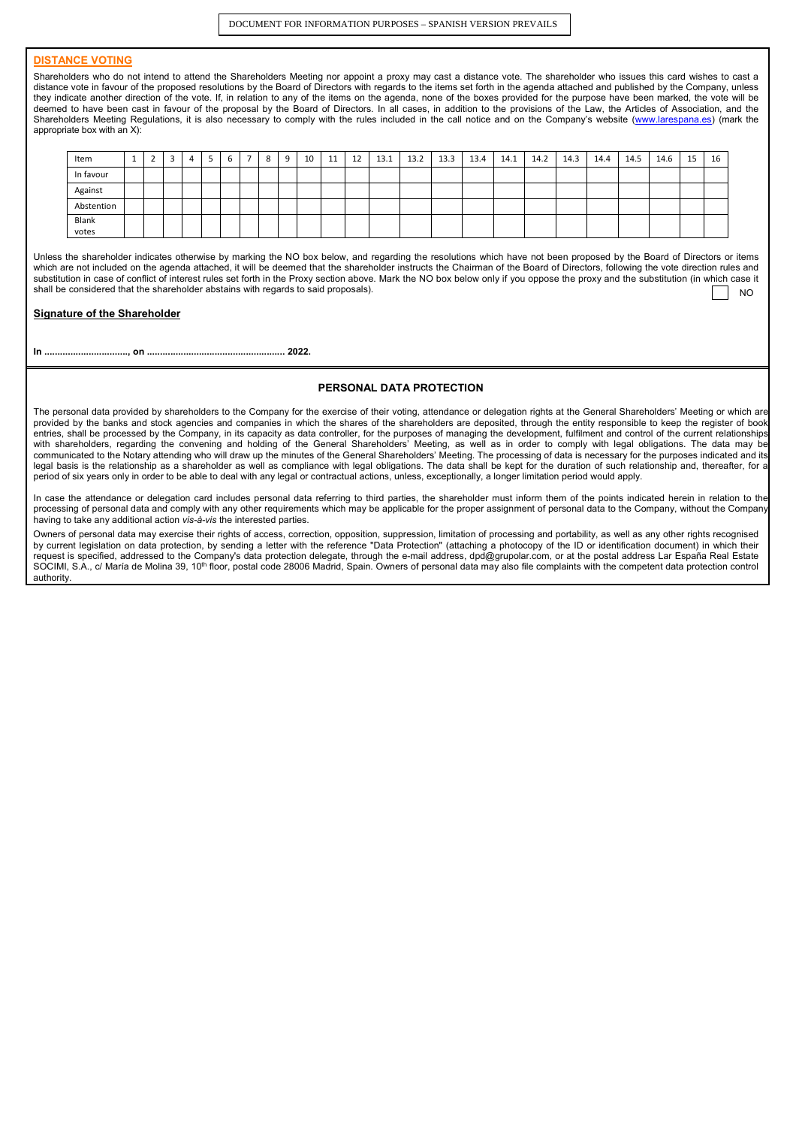DOCUMENT FOR INFORMATION PURPOSES – SPANISH VERSION PREVAILS

# **DISTANCE VOTING**

Shareholders who do not intend to attend the Shareholders Meeting nor appoint a proxy may cast a distance vote. The shareholder who issues this card wishes to cast a distance vote in favour of the proposed resolutions by the Board of Directors with regards to the items set forth in the agenda attached and published by the Company, unless they indicate another direction of the vote. If, in relation to any of the items on the agenda, none of the boxes provided for the purpose have been marked, the vote will be deemed to have been cast in favour of the proposal by the Board of Directors. In all cases, in addition to the provisions of the Law, the Articles of Association, and the Shareholders Meeting Regulations, it is also necessary to comply with the rules included in the call notice and on the Company's website [\(www.larespana.es\)](http://www.larespana.es/) (mark the appropriate box with an X):

| Item       | л. | <u>.</u> | ∽<br>د | 4 | - | b | 8 | q | 10 | 11 | 12 | 13.1 | 13.2 | 13.3 | 13.4 | 14.1 | 14.2 | 14.3 | 14.4 | 14.5 | 14.6 | 15 | 16 |
|------------|----|----------|--------|---|---|---|---|---|----|----|----|------|------|------|------|------|------|------|------|------|------|----|----|
| In favour  |    |          |        |   |   |   |   |   |    |    |    |      |      |      |      |      |      |      |      |      |      |    |    |
| Against    |    |          |        |   |   |   |   |   |    |    |    |      |      |      |      |      |      |      |      |      |      |    |    |
| Abstention |    |          |        |   |   |   |   |   |    |    |    |      |      |      |      |      |      |      |      |      |      |    |    |
| Blank      |    |          |        |   |   |   |   |   |    |    |    |      |      |      |      |      |      |      |      |      |      |    |    |
| votes      |    |          |        |   |   |   |   |   |    |    |    |      |      |      |      |      |      |      |      |      |      |    |    |

Unless the shareholder indicates otherwise by marking the NO box below, and regarding the resolutions which have not been proposed by the Board of Directors or items which are not included on the agenda attached, it will be deemed that the shareholder instructs the Chairman of the Board of Directors, following the vote direction rules and substitution in case of conflict of interest rules set forth in the Proxy section above. Mark the NO box below only if you oppose the proxy and the substitution (in which case it shall be considered that the shareholder abstains with regards to said proposals). NO

# **Signature of the Shareholder**

**In ................................, on ..................................................... 2022.**

### **PERSONAL DATA PROTECTION**

The personal data provided by shareholders to the Company for the exercise of their voting, attendance or delegation rights at the General Shareholders' Meeting or which are provided by the banks and stock agencies and companies in which the shares of the shareholders are deposited, through the entity responsible to keep the register of book entries, shall be processed by the Company, in its capacity as data controller, for the purposes of managing the development, fulfilment and control of the current relationships with shareholders, regarding the convening and holding of the General Shareholders' Meeting, as well as in order to comply with legal obligations. The data may be communicated to the Notary attending who will draw up the minutes of the General Shareholders' Meeting. The processing of data is necessary for the purposes indicated and its legal basis is the relationship as a shareholder as well as compliance with legal obligations. The data shall be kept for the duration of such relationship and, thereafter, for a period of six years only in order to be able to deal with any legal or contractual actions, unless, exceptionally, a longer limitation period would apply.

In case the attendance or delegation card includes personal data referring to third parties, the shareholder must inform them of the points indicated herein in relation to the processing of personal data and comply with any other requirements which may be applicable for the proper assignment of personal data to the Company, without the Company having to take any additional action *vis-à-vis* the interested parties.

Owners of personal data may exercise their rights of access, correction, opposition, suppression, limitation of processing and portability, as well as any other rights recognised by current legislation on data protection, by sending a letter with the reference "Data Protection" (attaching a photocopy of the ID or identification document) in which their request is specified, addressed to the Company's data protection delegate, through the e-mail address, dpd@grupolar.com, or at the postal address Lar España Real Estate SOCIMI, S.A., c/ María de Molina 39, 10<sup>th</sup> floor, postal code 28006 Madrid, Spain. Owners of personal data may also file complaints with the competent data protection control authority.